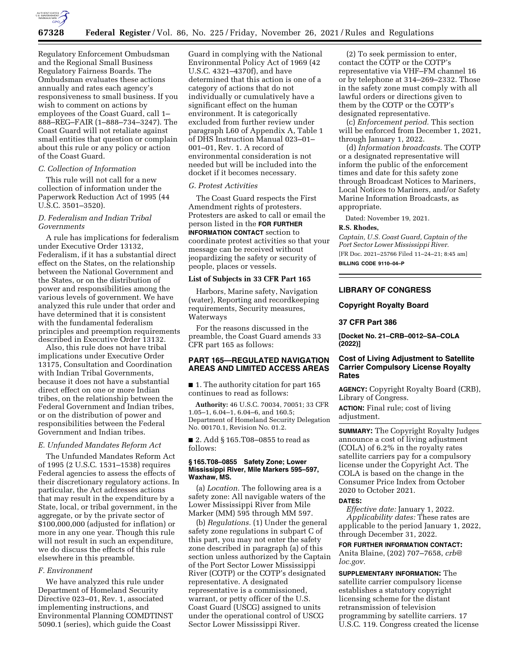

Regulatory Enforcement Ombudsman and the Regional Small Business Regulatory Fairness Boards. The Ombudsman evaluates these actions annually and rates each agency's responsiveness to small business. If you wish to comment on actions by employees of the Coast Guard, call 1– 888–REG–FAIR (1–888–734–3247). The Coast Guard will not retaliate against small entities that question or complain about this rule or any policy or action of the Coast Guard.

## *C. Collection of Information*

This rule will not call for a new collection of information under the Paperwork Reduction Act of 1995 (44 U.S.C. 3501–3520).

# *D. Federalism and Indian Tribal Governments*

A rule has implications for federalism under Executive Order 13132, Federalism, if it has a substantial direct effect on the States, on the relationship between the National Government and the States, or on the distribution of power and responsibilities among the various levels of government. We have analyzed this rule under that order and have determined that it is consistent with the fundamental federalism principles and preemption requirements described in Executive Order 13132.

Also, this rule does not have tribal implications under Executive Order 13175, Consultation and Coordination with Indian Tribal Governments, because it does not have a substantial direct effect on one or more Indian tribes, on the relationship between the Federal Government and Indian tribes, or on the distribution of power and responsibilities between the Federal Government and Indian tribes.

### *E. Unfunded Mandates Reform Act*

The Unfunded Mandates Reform Act of 1995 (2 U.S.C. 1531–1538) requires Federal agencies to assess the effects of their discretionary regulatory actions. In particular, the Act addresses actions that may result in the expenditure by a State, local, or tribal government, in the aggregate, or by the private sector of \$100,000,000 (adjusted for inflation) or more in any one year. Though this rule will not result in such an expenditure, we do discuss the effects of this rule elsewhere in this preamble.

## *F. Environment*

We have analyzed this rule under Department of Homeland Security Directive 023–01, Rev. 1, associated implementing instructions, and Environmental Planning COMDTINST 5090.1 (series), which guide the Coast

Guard in complying with the National Environmental Policy Act of 1969 (42 U.S.C. 4321–4370f), and have determined that this action is one of a category of actions that do not individually or cumulatively have a significant effect on the human environment. It is categorically excluded from further review under paragraph L60 of Appendix A, Table 1 of DHS Instruction Manual 023–01– 001–01, Rev. 1. A record of environmental consideration is not needed but will be included into the docket if it becomes necessary.

## *G. Protest Activities*

The Coast Guard respects the First Amendment rights of protesters. Protesters are asked to call or email the person listed in the **FOR FURTHER INFORMATION CONTACT** section to coordinate protest activities so that your message can be received without jeopardizing the safety or security of people, places or vessels.

## **List of Subjects in 33 CFR Part 165**

Harbors, Marine safety, Navigation (water), Reporting and recordkeeping requirements, Security measures, **Waterways** 

For the reasons discussed in the preamble, the Coast Guard amends 33 CFR part 165 as follows:

# **PART 165—REGULATED NAVIGATION AREAS AND LIMITED ACCESS AREAS**

■ 1. The authority citation for part 165 continues to read as follows:

**Authority:** 46 U.S.C. 70034, 70051; 33 CFR 1.05–1, 6.04–1, 6.04–6, and 160.5; Department of Homeland Security Delegation No. 00170.1, Revision No. 01.2.

■ 2. Add § 165.T08–0855 to read as follows:

## **§ 165.T08–0855 Safety Zone; Lower Mississippi River, Mile Markers 595–597, Waxhaw, MS.**

(a) *Location.* The following area is a safety zone: All navigable waters of the Lower Mississippi River from Mile Marker (MM) 595 through MM 597.

(b) *Regulations.* (1) Under the general safety zone regulations in subpart C of this part, you may not enter the safety zone described in paragraph (a) of this section unless authorized by the Captain of the Port Sector Lower Mississippi River (COTP) or the COTP's designated representative. A designated representative is a commissioned, warrant, or petty officer of the U.S. Coast Guard (USCG) assigned to units under the operational control of USCG Sector Lower Mississippi River.

(2) To seek permission to enter, contact the COTP or the COTP's representative via VHF–FM channel 16 or by telephone at 314–269–2332. Those in the safety zone must comply with all lawful orders or directions given to them by the COTP or the COTP's designated representative.

(c) *Enforcement period.* This section will be enforced from December 1, 2021, through January 1, 2022.

(d) *Information broadcasts.* The COTP or a designated representative will inform the public of the enforcement times and date for this safety zone through Broadcast Notices to Mariners, Local Notices to Mariners, and/or Safety Marine Information Broadcasts, as appropriate.

Dated: November 19, 2021.

# **R.S. Rhodes,**

*Captain, U.S. Coast Guard, Captain of the Port Sector Lower Mississippi River.*  [FR Doc. 2021–25766 Filed 11–24–21; 8:45 am]

**BILLING CODE 9110–04–P** 

#### **LIBRARY OF CONGRESS**

## **Copyright Royalty Board**

## **37 CFR Part 386**

**[Docket No. 21–CRB–0012–SA–COLA (2022)]** 

# **Cost of Living Adjustment to Satellite Carrier Compulsory License Royalty Rates**

**AGENCY:** Copyright Royalty Board (CRB), Library of Congress.

**ACTION:** Final rule; cost of living adjustment.

**SUMMARY:** The Copyright Royalty Judges announce a cost of living adjustment (COLA) of 6.2% in the royalty rates satellite carriers pay for a compulsory license under the Copyright Act. The COLA is based on the change in the Consumer Price Index from October 2020 to October 2021.

#### **DATES:**

*Effective date:* January 1, 2022. *Applicability dates:* These rates are applicable to the period January 1, 2022, through December 31, 2022.

**FOR FURTHER INFORMATION CONTACT:**  Anita Blaine, (202) 707–7658, *[crb@](mailto:crb@loc.gov) [loc.gov.](mailto:crb@loc.gov)* 

**SUPPLEMENTARY INFORMATION:** The satellite carrier compulsory license establishes a statutory copyright licensing scheme for the distant retransmission of television programming by satellite carriers. 17 U.S.C. 119. Congress created the license